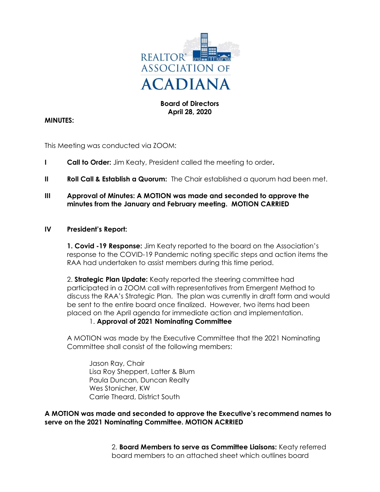

# Board of Directors April 28, 2020

# MINUTES:

This Meeting was conducted via ZOOM:

- I Call to Order: Jim Keaty, President called the meeting to order.
- II Roll Call & Establish a Quorum: The Chair established a quorum had been met.
- III Approval of Minutes: A MOTION was made and seconded to approve the minutes from the January and February meeting. MOTION CARRIED

#### IV President's Report:

1. Covid -19 Response: Jim Keaty reported to the board on the Association's response to the COVID-19 Pandemic noting specific steps and action items the RAA had undertaken to assist members during this time period.

2. **Strategic Plan Update:** Keaty reported the steering committee had participated in a ZOOM call with representatives from Emergent Method to discuss the RAA's Strategic Plan. The plan was currently in draft form and would be sent to the entire board once finalized. However, two items had been placed on the April agenda for immediate action and implementation.

#### 1. Approval of 2021 Nominating Committee

 A MOTION was made by the Executive Committee that the 2021 Nominating Committee shall consist of the following members:

 Jason Ray, Chair Lisa Roy Sheppert, Latter & Blum Paula Duncan, Duncan Realty Wes Stonicher, KW Carrie Theard, District South

A MOTION was made and seconded to approve the Executive's recommend names to serve on the 2021 Nominating Committee. MOTION ACRRIED

> 2. Board Members to serve as Committee Liaisons: Keaty referred board members to an attached sheet which outlines board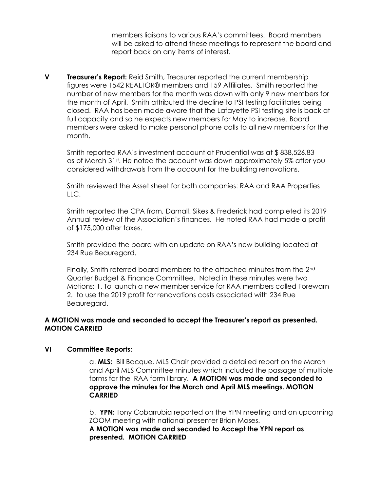members liaisons to various RAA's committees. Board members will be asked to attend these meetings to represent the board and report back on any items of interest.

**V** Treasurer's Report: Reid Smith, Treasurer reported the current membership figures were 1542 REALTOR® members and 159 Affiliates. Smith reported the number of new members for the month was down with only 9 new members for the month of April. Smith attributed the decline to PSI testing facilitates being closed. RAA has been made aware that the Lafayette PSI testing site is back at full capacity and so he expects new members for May to increase. Board members were asked to make personal phone calls to all new members for the month.

 Smith reported RAA's investment account at Prudential was at \$ 838,526.83 as of March 31st. He noted the account was down approximately 5% after you considered withdrawals from the account for the building renovations.

 Smith reviewed the Asset sheet for both companies: RAA and RAA Properties LLC.

 Smith reported the CPA from, Darnall. Sikes & Frederick had completed its 2019 Annual review of the Association's finances. He noted RAA had made a profit of \$175,000 after taxes.

Smith provided the board with an update on RAA's new building located at 234 Rue Beauregard.

Finally, Smith referred board members to the attached minutes from the 2<sup>nd</sup> Quarter Budget & Finance Committee. Noted in these minutes were two Motions: 1. To launch a new member service for RAA members called Forewarn 2. to use the 2019 profit for renovations costs associated with 234 Rue Beauregard.

# A MOTION was made and seconded to accept the Treasurer's report as presented. MOTION CARRIED

#### VI Committee Reports:

 a. MLS: Bill Bacque, MLS Chair provided a detailed report on the March and April MLS Committee minutes which included the passage of multiple forms for the RAA form library. A MOTION was made and seconded to approve the minutes for the March and April MLS meetings. MOTION CARRIED

 b. YPN: Tony Cobarrubia reported on the YPN meeting and an upcoming ZOOM meeting with national presenter Brian Moses.

 A MOTION was made and seconded to Accept the YPN report as presented. MOTION CARRIED